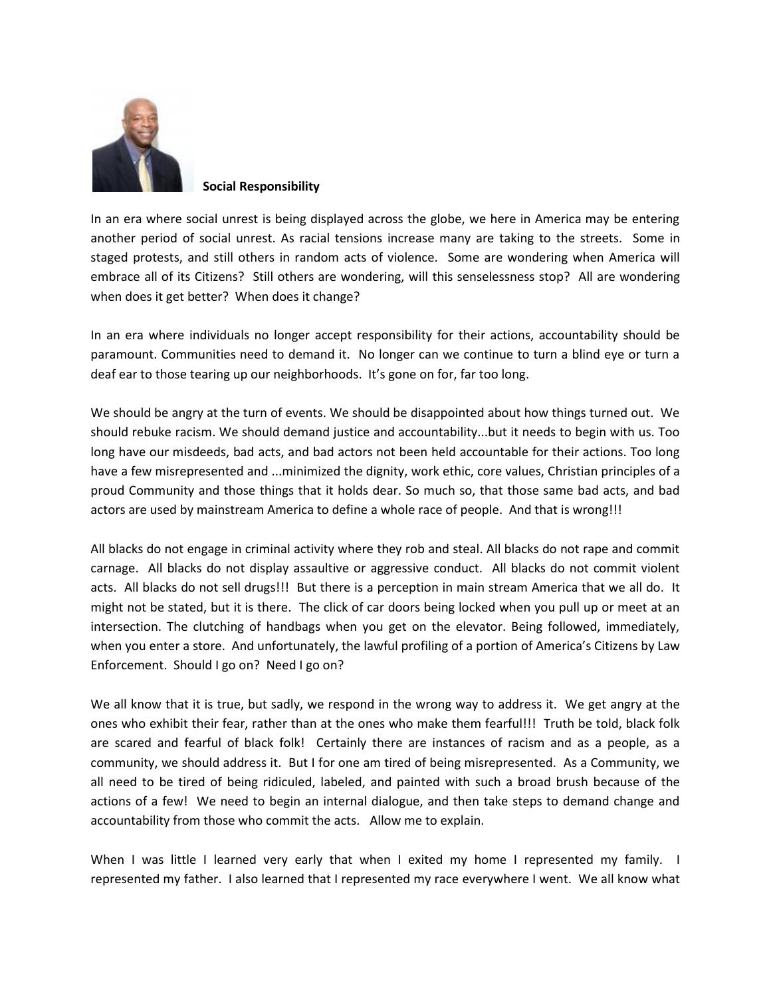

 **Social Responsibility**

In an era where social unrest is being displayed across the globe, we here in America may be entering another period of social unrest. As racial tensions increase many are taking to the streets. Some in staged protests, and still others in random acts of violence. Some are wondering when America will embrace all of its Citizens? Still others are wondering, will this senselessness stop? All are wondering when does it get better? When does it change?

In an era where individuals no longer accept responsibility for their actions, accountability should be paramount. Communities need to demand it. No longer can we continue to turn a blind eye or turn a deaf ear to those tearing up our neighborhoods. It's gone on for, far too long.

We should be angry at the turn of events. We should be disappointed about how things turned out. We should rebuke racism. We should demand justice and accountability...but it needs to begin with us. Too long have our misdeeds, bad acts, and bad actors not been held accountable for their actions. Too long have a few misrepresented and ...minimized the dignity, work ethic, core values, Christian principles of a proud Community and those things that it holds dear. So much so, that those same bad acts, and bad actors are used by mainstream America to define a whole race of people. And that is wrong!!!

All blacks do not engage in criminal activity where they rob and steal. All blacks do not rape and commit carnage. All blacks do not display assaultive or aggressive conduct. All blacks do not commit violent acts. All blacks do not sell drugs!!! But there is a perception in main stream America that we all do. It might not be stated, but it is there. The click of car doors being locked when you pull up or meet at an intersection. The clutching of handbags when you get on the elevator. Being followed, immediately, when you enter a store. And unfortunately, the lawful profiling of a portion of America's Citizens by Law Enforcement. Should I go on? Need I go on?

We all know that it is true, but sadly, we respond in the wrong way to address it. We get angry at the ones who exhibit their fear, rather than at the ones who make them fearful!!! Truth be told, black folk are scared and fearful of black folk! Certainly there are instances of racism and as a people, as a community, we should address it. But I for one am tired of being misrepresented. As a Community, we all need to be tired of being ridiculed, labeled, and painted with such a broad brush because of the actions of a few! We need to begin an internal dialogue, and then take steps to demand change and accountability from those who commit the acts. Allow me to explain.

When I was little I learned very early that when I exited my home I represented my family. I represented my father. I also learned that I represented my race everywhere I went. We all know what